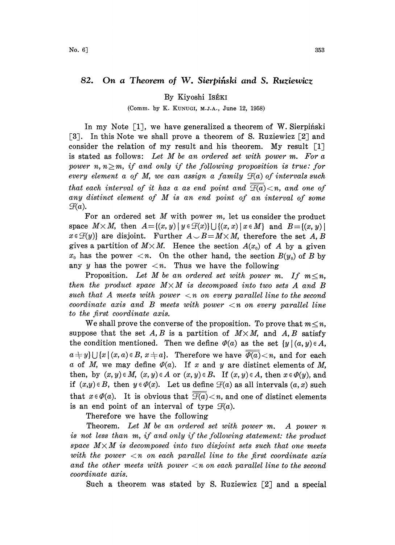## 82. On a Theorem of W. Sierpinski and S. Ruziewicz

## By Kiyoshi ISÉKI

(Comm. by K. KUNUG, M.J.A., June 12, 1958)

In my Note  $\lceil 1 \rceil$ , we have generalized a theorem of W. Sierpingki [3]. In this Note we shall prove a theorem of S. Ruziewicz [2] and consider the relation of my result and his theorem. My result  $\lceil 1 \rceil$ is stated as follows: Let  $M$  be an ordered set with power  $m$ . For  $a$ power n,  $n \geq m$ , if and only if the following proposition is true: for every element a of M, we can assign a family  $\mathcal{F}(a)$  of intervals such that each interval of it has a as end point and  $\overline{\mathcal{F}(a)}$  < n, and one of any distinct element of M is an end point of an interval of some  $\mathcal{F}(a)$ .

For an ordered set  $M$  with power  $m$ , let us consider the product space  $M \times M$ , then  $A = \{(x, y) | y \in \mathcal{F}(x)\} \cup \{(x, x) | x \in M\}$  and  $B = \{(x, y) | x \in \mathcal{F}(y)\}$  are disjoint. Further  $A \cup B = M \times M$ , therefore the set A, B  $x \in \mathcal{F}(y)$  are disjoint. Further  $A \cup B = M \times M$ , therefore the set A, B gives a partition of  $M \times M$ . Hence the section  $A(x_0)$  of A by a given  $x_0$  has the power  $\langle n$ . On the other hand, the section  $B(y_0)$  of B by any y has the power  $\langle n$ . Thus we have the following

Proposition. Let M be an ordered set with power m. If  $m \leq n$ , then the product space  $M \times M$  is decomposed into two sets A and B such that A meets with power  $\langle n \rangle$  on every parallel line to the second coordinate axis and  $B$  meets with power  $\langle n \rangle$  on every parallel line to the first coordinate axis.

We shall prove the converse of the proposition. To prove that  $m \leq n$ , suppose that the set A, B is a partition of  $M \times M$ , and A, B satisfy the condition mentioned. Then we define  $\varphi(a)$  as the set  $\{y \mid (a, y) \in A,$  $a \neq y$ }  $\bigcup \{x \mid (x, a) \in B, x \neq a\}.$  Therefore we have  $\overline{\varphi(a)} \leq n$ , and for each a of M, we may define  $\varPhi(a)$ . If x and y are distinct elements of M, then, by  $(x, y) \in M$ ,  $(x, y) \in A$  or  $(x, y) \in B$ . If  $(x, y) \in A$ , then  $x \in \varPhi(y)$ , and if  $(x,y) \in B$ , then  $y \in \varPhi(x)$ . Let us define  $\mathcal{F}(a)$  as all intervals  $(a, x)$  such that  $x \in \varPhi(a)$ . It is obvious that  $\overline{\mathcal{F}(a)} < n$ , and one of distinct elements is an end point of an interval of type  $\mathcal{F}(a)$ .

Therefore we have the following

Theorem. Let M be an ordered set with power m. A power <sup>n</sup> is not less than m, if and only if the following statement: the product space  $M \times M$  is decomposed into two disjoint sets such that one meets with the power  $\langle n \rangle$  on each parallel line to the first coordinate axis and the other meets with power  $\langle n \rangle$  on each parallel line to the second coordinate axis.

Such a theorem was stated by S. Ruziewicz  $\lceil 2 \rceil$  and a special